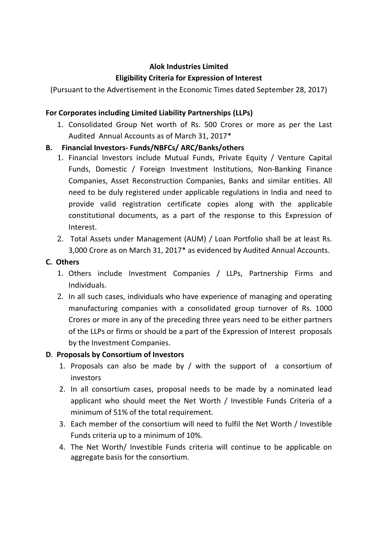# **Alok Industries Limited**

# **Eligibility Criteria for Expression of Interest**

(Pursuant to the Advertisement in the Economic Times dated September 28, 2017)

## **For Corporates including Limited Liability Partnerships (LLPs)**

1. Consolidated Group Net worth of Rs. 500 Crores or more as per the Last Audited Annual Accounts as of March 31, 2017\*

## **B. Financial Investors- Funds/NBFCs/ ARC/Banks/others**

- 1. Financial Investors include Mutual Funds, Private Equity / Venture Capital Funds, Domestic / Foreign Investment Institutions, Non-Banking Finance Companies, Asset Reconstruction Companies, Banks and similar entities. All need to be duly registered under applicable regulations in India and need to provide valid registration certificate copies along with the applicable constitutional documents, as a part of the response to this Expression of Interest.
- 2. Total Assets under Management (AUM) / Loan Portfolio shall be at least Rs. 3,000 Crore as on March 31, 2017\* as evidenced by Audited Annual Accounts.

### **C. Others**

- 1. Others include Investment Companies / LLPs, Partnership Firms and Individuals.
- 2. In all such cases, individuals who have experience of managing and operating manufacturing companies with a consolidated group turnover of Rs. 1000 Crores or more in any of the preceding three years need to be either partners of the LLPs or firms or should be a part of the Expression of Interest proposals by the Investment Companies.

### **D**. **Proposals by Consortium of Investors**

- 1. Proposals can also be made by / with the support of a consortium of investors
- 2. In all consortium cases, proposal needs to be made by a nominated lead applicant who should meet the Net Worth / Investible Funds Criteria of a minimum of 51% of the total requirement.
- 3. Each member of the consortium will need to fulfil the Net Worth / Investible Funds criteria up to a minimum of 10%.
- 4. The Net Worth/ Investible Funds criteria will continue to be applicable on aggregate basis for the consortium.